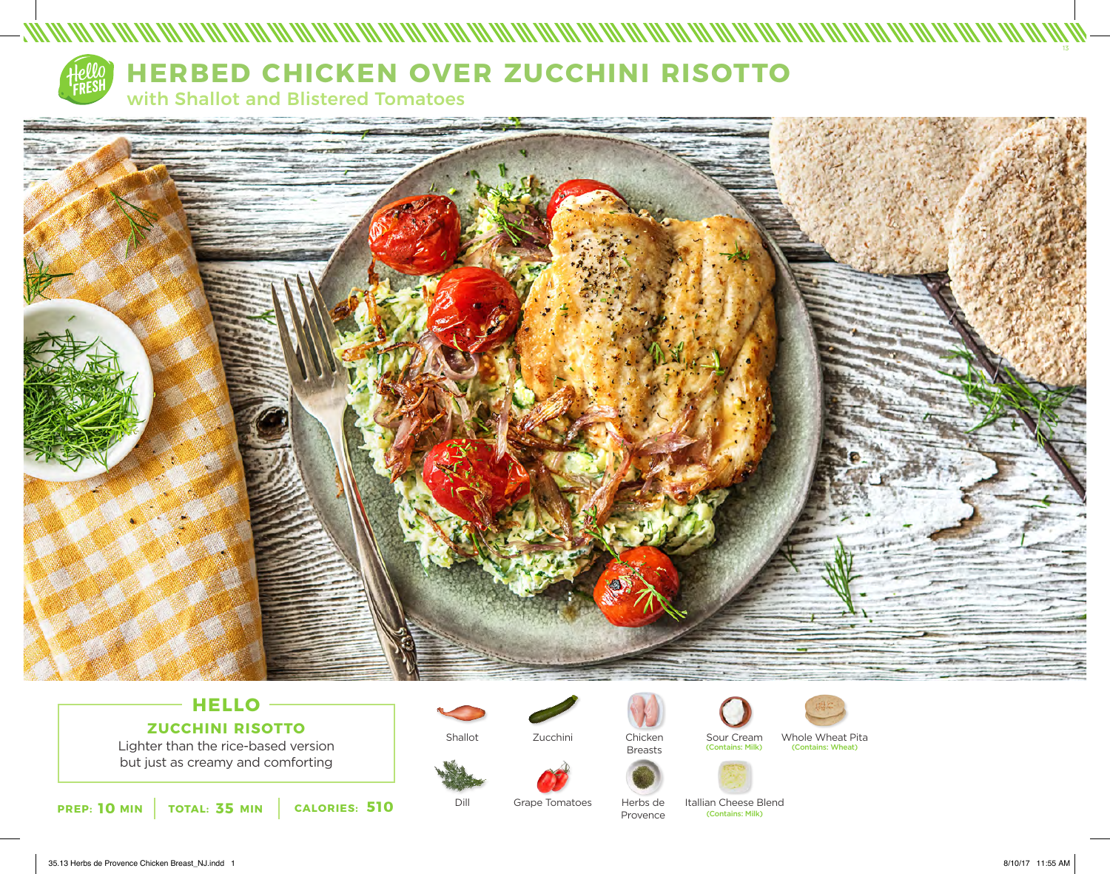

# **HERBED CHICKEN OVER ZUCCHINI RISOTTO**

with Shallot and Blistered Tomatoes



## **HELLO ZUCCHINI RISOTTO**

Lighter than the rice-based version but just as creamy and comforting

**10 35 510** (Contains: Milk) **PREP: MIN TOTAL: MIN CALORIES:**

Shallot

Zucchini



Breasts



Dill Grape Tomatoes Herbs de

Provence

Chicken Sour Cream Whole Wheat Pita<br>
Propets (Contains: Milk) (Contains: Wheat) (Contains: Wheat)



Itallian Cheese Blend<br>
Contains: Milk)